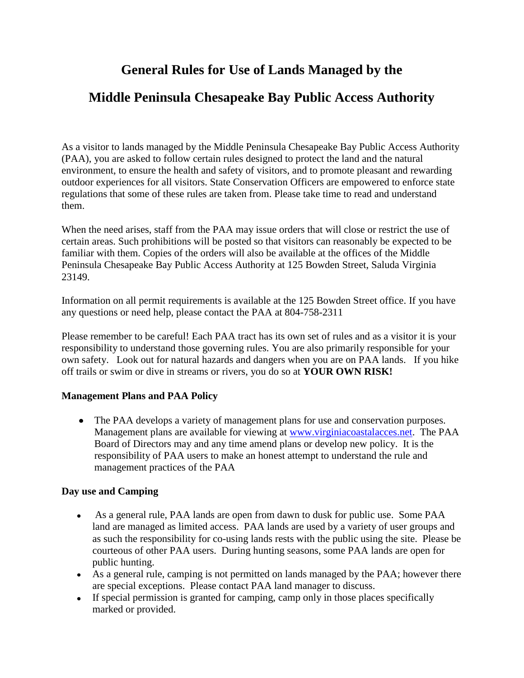# **General Rules for Use of Lands Managed by the**

## **Middle Peninsula Chesapeake Bay Public Access Authority**

As a visitor to lands managed by the Middle Peninsula Chesapeake Bay Public Access Authority (PAA), you are asked to follow certain rules designed to protect the land and the natural environment, to ensure the health and safety of visitors, and to promote pleasant and rewarding outdoor experiences for all visitors. State Conservation Officers are empowered to enforce state regulations that some of these rules are taken from. Please take time to read and understand them.

When the need arises, staff from the PAA may issue orders that will close or restrict the use of certain areas. Such prohibitions will be posted so that visitors can reasonably be expected to be familiar with them. Copies of the orders will also be available at the offices of the Middle Peninsula Chesapeake Bay Public Access Authority at 125 Bowden Street, Saluda Virginia 23149.

Information on all permit requirements is available at the 125 Bowden Street office. If you have any questions or need help, please contact the PAA at 804-758-2311

Please remember to be careful! Each PAA tract has its own set of rules and as a visitor it is your responsibility to understand those governing rules. You are also primarily responsible for your own safety. Look out for natural hazards and dangers when you are on PAA lands. If you hike off trails or swim or dive in streams or rivers, you do so at **YOUR OWN RISK!**

#### **Management Plans and PAA Policy**

The PAA develops a variety of management plans for use and conservation purposes. Management plans are available for viewing at [www.virginiacoastalacces.net.](http://www.virginiacoastalacces.net/) The PAA Board of Directors may and any time amend plans or develop new policy. It is the responsibility of PAA users to make an honest attempt to understand the rule and management practices of the PAA

### **Day use and Camping**

- As a general rule, PAA lands are open from dawn to dusk for public use. Some PAA  $\bullet$ land are managed as limited access. PAA lands are used by a variety of user groups and as such the responsibility for co-using lands rests with the public using the site. Please be courteous of other PAA users. During hunting seasons, some PAA lands are open for public hunting.
- As a general rule, camping is not permitted on lands managed by the PAA; however there are special exceptions. Please contact PAA land manager to discuss.
- If special permission is granted for camping, camp only in those places specifically marked or provided.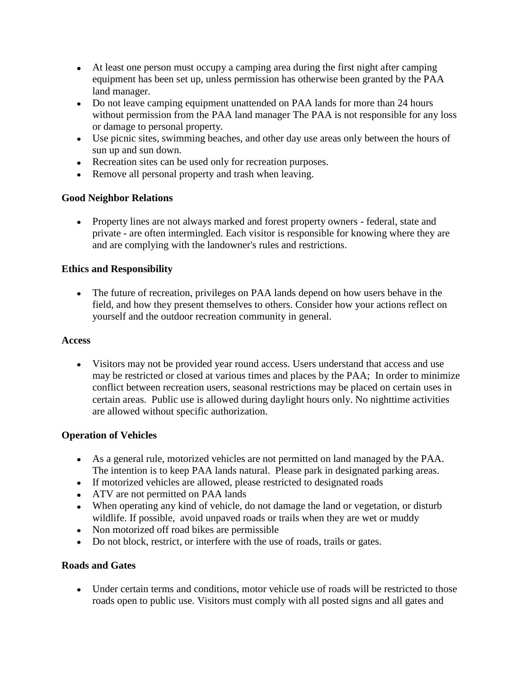- At least one person must occupy a camping area during the first night after camping equipment has been set up, unless permission has otherwise been granted by the PAA land manager.
- Do not leave camping equipment unattended on PAA lands for more than 24 hours without permission from the PAA land manager The PAA is not responsible for any loss or damage to personal property.
- Use picnic sites, swimming beaches, and other day use areas only between the hours of sun up and sun down.
- Recreation sites can be used only for recreation purposes.
- Remove all personal property and trash when leaving.

#### **Good Neighbor Relations**

• Property lines are not always marked and forest property owners - federal, state and private - are often intermingled. Each visitor is responsible for knowing where they are and are complying with the landowner's rules and restrictions.

#### **Ethics and Responsibility**

The future of recreation, privileges on PAA lands depend on how users behave in the field, and how they present themselves to others. Consider how your actions reflect on yourself and the outdoor recreation community in general.

#### **Access**

Visitors may not be provided year round access. Users understand that access and use may be restricted or closed at various times and places by the PAA; In order to minimize conflict between recreation users, seasonal restrictions may be placed on certain uses in certain areas. Public use is allowed during daylight hours only. No nighttime activities are allowed without specific authorization.

#### **Operation of Vehicles**

- As a general rule, motorized vehicles are not permitted on land managed by the PAA. The intention is to keep PAA lands natural. Please park in designated parking areas.
- If motorized vehicles are allowed, please restricted to designated roads
- ATV are not permitted on PAA lands
- When operating any kind of vehicle, do not damage the land or vegetation, or disturb wildlife. If possible, avoid unpaved roads or trails when they are wet or muddy
- Non motorized off road bikes are permissible
- Do not block, restrict, or interfere with the use of roads, trails or gates.

#### **Roads and Gates**

Under certain terms and conditions, motor vehicle use of roads will be restricted to those roads open to public use. Visitors must comply with all posted signs and all gates and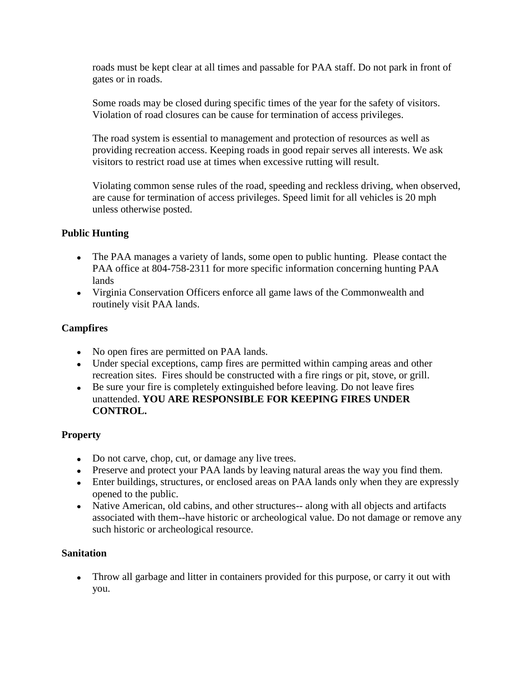roads must be kept clear at all times and passable for PAA staff. Do not park in front of gates or in roads.

Some roads may be closed during specific times of the year for the safety of visitors. Violation of road closures can be cause for termination of access privileges.

The road system is essential to management and protection of resources as well as providing recreation access. Keeping roads in good repair serves all interests. We ask visitors to restrict road use at times when excessive rutting will result.

Violating common sense rules of the road, speeding and reckless driving, when observed, are cause for termination of access privileges. Speed limit for all vehicles is 20 mph unless otherwise posted.

#### **Public Hunting**

- The PAA manages a variety of lands, some open to public hunting. Please contact the PAA office at 804-758-2311 for more specific information concerning hunting PAA lands
- Virginia Conservation Officers enforce all game laws of the Commonwealth and routinely visit PAA lands.

#### **Campfires**

- No open fires are permitted on PAA lands.
- Under special exceptions, camp fires are permitted within camping areas and other recreation sites. Fires should be constructed with a fire rings or pit, stove, or grill.
- Be sure your fire is completely extinguished before leaving. Do not leave fires unattended. **YOU ARE RESPONSIBLE FOR KEEPING FIRES UNDER CONTROL.**

#### **Property**

- Do not carve, chop, cut, or damage any live trees.
- Preserve and protect your PAA lands by leaving natural areas the way you find them.
- Enter buildings, structures, or enclosed areas on PAA lands only when they are expressly opened to the public.
- Native American, old cabins, and other structures-- along with all objects and artifacts associated with them--have historic or archeological value. Do not damage or remove any such historic or archeological resource.

#### **Sanitation**

Throw all garbage and litter in containers provided for this purpose, or carry it out with  $\bullet$ you.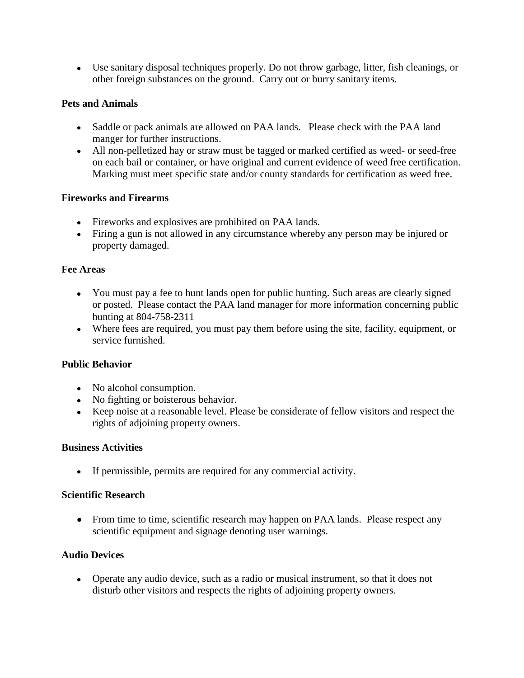Use sanitary disposal techniques properly. Do not throw garbage, litter, fish cleanings, or other foreign substances on the ground. Carry out or burry sanitary items.

#### **Pets and Animals**

- Saddle or pack animals are allowed on PAA lands. Please check with the PAA land manger for further instructions.
- All non-pelletized hay or straw must be tagged or marked certified as weed- or seed-free on each bail or container, or have original and current evidence of weed free certification. Marking must meet specific state and/or county standards for certification as weed free.

#### **Fireworks and Firearms**

- Fireworks and explosives are prohibited on PAA lands.
- Firing a gun is not allowed in any circumstance whereby any person may be injured or property damaged.

#### **Fee Areas**

- You must pay a fee to hunt lands open for public hunting. Such areas are clearly signed or posted. Please contact the PAA land manager for more information concerning public hunting at 804-758-2311
- Where fees are required, you must pay them before using the site, facility, equipment, or service furnished.

### **Public Behavior**

- No alcohol consumption.
- No fighting or boisterous behavior.
- Keep noise at a reasonable level. Please be considerate of fellow visitors and respect the rights of adjoining property owners.

#### **Business Activities**

If permissible, permits are required for any commercial activity.

#### **Scientific Research**

• From time to time, scientific research may happen on PAA lands. Please respect any scientific equipment and signage denoting user warnings.

### **Audio Devices**

Operate any audio device, such as a radio or musical instrument, so that it does not disturb other visitors and respects the rights of adjoining property owners.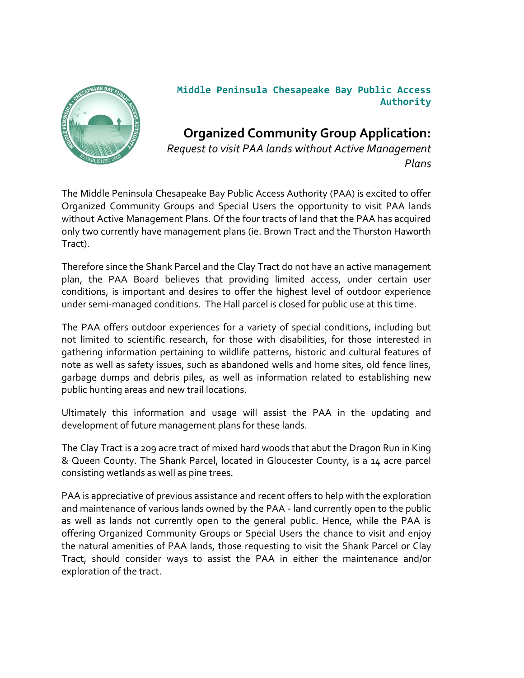

## **Middle Peninsula Chesapeake Bay Public Access Authority**

**Organized Community Group Application:** *Request to visit PAA lands without Active Management Plans*

The Middle Peninsula Chesapeake Bay Public Access Authority (PAA) is excited to offer Organized Community Groups and Special Users the opportunity to visit PAA lands without Active Management Plans. Of the four tracts of land that the PAA has acquired only two currently have management plans (ie. Brown Tract and the Thurston Haworth Tract).

Therefore since the Shank Parcel and the Clay Tract do not have an active management plan, the PAA Board believes that providing limited access, under certain user conditions, is important and desires to offer the highest level of outdoor experience under semi-managed conditions. The Hall parcel is closed for public use at this time.

The PAA offers outdoor experiences for a variety of special conditions, including but not limited to scientific research, for those with disabilities, for those interested in gathering information pertaining to wildlife patterns, historic and cultural features of note as well as safety issues, such as abandoned wells and home sites, old fence lines, garbage dumps and debris piles, as well as information related to establishing new public hunting areas and new trail locations.

Ultimately this information and usage will assist the PAA in the updating and development of future management plans for these lands.

The Clay Tract is a 209 acre tract of mixed hard woods that abut the Dragon Run in King & Queen County. The Shank Parcel, located in Gloucester County, is a 14 acre parcel consisting wetlands as well as pine trees.

PAA is appreciative of previous assistance and recent offers to help with the exploration and maintenance of various lands owned by the PAA - land currently open to the public as well as lands not currently open to the general public. Hence, while the PAA is offering Organized Community Groups or Special Users the chance to visit and enjoy the natural amenities of PAA lands, those requesting to visit the Shank Parcel or Clay Tract, should consider ways to assist the PAA in either the maintenance and/or exploration of the tract.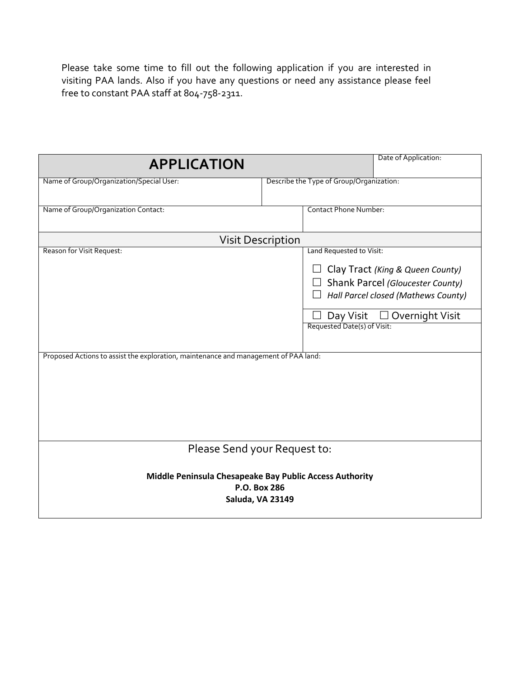Please take some time to fill out the following application if you are interested in visiting PAA lands. Also if you have any questions or need any assistance please feel free to constant PAA staff at 804-758-2311.

| <b>APPLICATION</b>                                                                                               | Date of Application:                                                                                                                                                                                              |
|------------------------------------------------------------------------------------------------------------------|-------------------------------------------------------------------------------------------------------------------------------------------------------------------------------------------------------------------|
| Name of Group/Organization/Special User:                                                                         | Describe the Type of Group/Organization:                                                                                                                                                                          |
| Name of Group/Organization Contact:                                                                              | <b>Contact Phone Number:</b>                                                                                                                                                                                      |
| <b>Visit Description</b>                                                                                         |                                                                                                                                                                                                                   |
| Reason for Visit Request:<br>Proposed Actions to assist the exploration, maintenance and management of PAA land: | Land Requested to Visit:<br>Clay Tract (King & Queen County)<br>Shank Parcel (Gloucester County)<br>$\perp$<br>Hall Parcel closed (Mathews County)<br>Overnight Visit<br>Day Visit<br>Requested Date(s) of Visit: |
| Please Send your Request to:                                                                                     |                                                                                                                                                                                                                   |
| Middle Peninsula Chesapeake Bay Public Access Authority<br>P.O. Box 286<br><b>Saluda, VA 23149</b>               |                                                                                                                                                                                                                   |